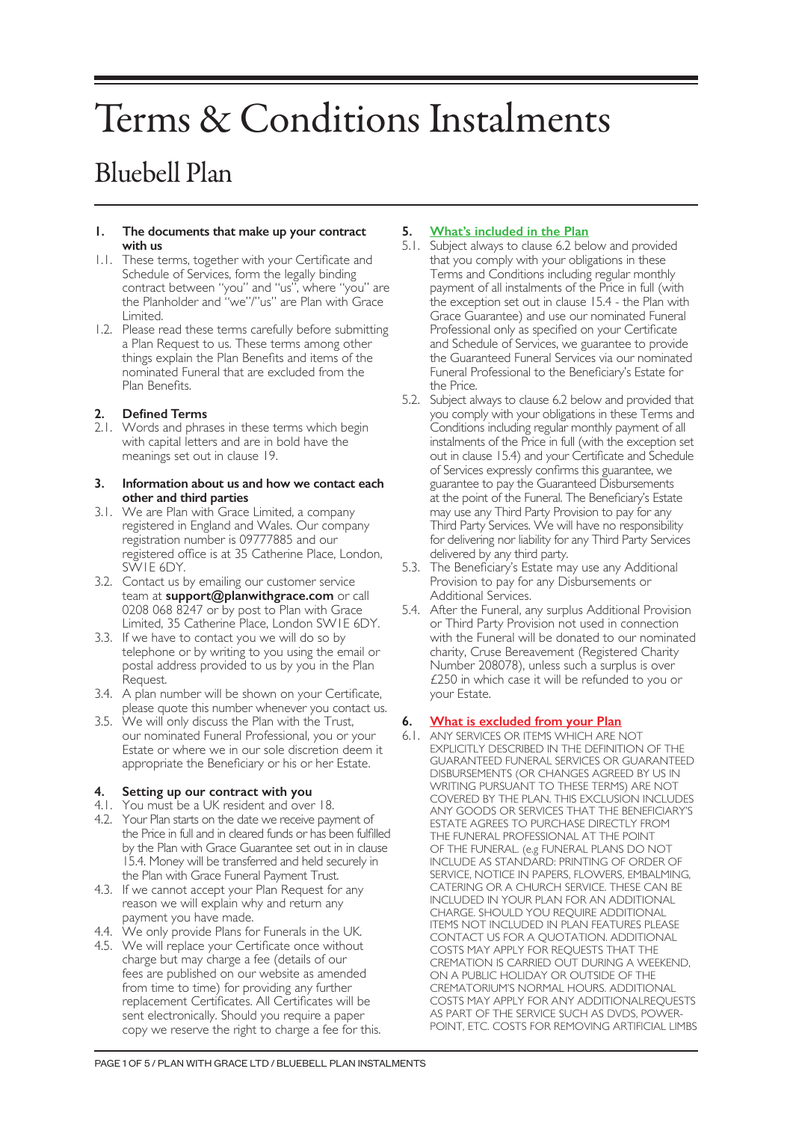# Terms & Conditions Instalments

# Bluebell Plan

#### **1. The documents that make up your contract with us**

- 1.1. These terms, together with your Certificate and Schedule of Services, form the legally binding contract between "you" and "us", where "you" are the Planholder and "we"/"us" are Plan with Grace Limited.
- 1.2. Please read these terms carefully before submitting a Plan Request to us. These terms among other things explain the Plan Benefits and items of the nominated Funeral that are excluded from the Plan Benefits.

# **2. Defined Terms**

2.1. Words and phrases in these terms which begin with capital letters and are in bold have the meanings set out in clause 19.

#### **3. Information about us and how we contact each other and third parties**

- 3.1. We are Plan with Grace Limited, a company registered in England and Wales. Our company registration number is 09777885 and our registered office is at 35 Catherine Place, London, SW1E 6DY.
- 3.2. Contact us by emailing our customer service team at **support@planwithgrace.com** or call 0208 068 8247 or by post to Plan with Grace Limited, 35 Catherine Place, London SW1E 6DY.
- 3.3. If we have to contact you we will do so by telephone or by writing to you using the email or postal address provided to us by you in the Plan Request.
- 3.4. A plan number will be shown on your Certificate, please quote this number whenever you contact us.
- 3.5. We will only discuss the Plan with the Trust, our nominated Funeral Professional, you or your Estate or where we in our sole discretion deem it appropriate the Beneficiary or his or her Estate.

# **4. Setting up our contract with you**

- 4.1. You must be a UK resident and over 18.
- 4.2. Your Plan starts on the date we receive payment of the Price in full and in cleared funds or has been fulfilled by the Plan with Grace Guarantee set out in in clause 15.4. Money will be transferred and held securely in the Plan with Grace Funeral Payment Trust.
- 4.3. If we cannot accept your Plan Request for any reason we will explain why and return any payment you have made.
- 4.4. We only provide Plans for Funerals in the UK.
- 4.5. We will replace your Certificate once without charge but may charge a fee (details of our fees are published on our website as amended from time to time) for providing any further replacement Certificates. All Certificates will be sent electronically. Should you require a paper copy we reserve the right to charge a fee for this.

# **5. What's included in the Plan**

- 5.1. Subject always to clause 6.2 below and provided that you comply with your obligations in these Terms and Conditions including regular monthly payment of all instalments of the Price in full (with the exception set out in clause 15.4 - the Plan with Grace Guarantee) and use our nominated Funeral Professional only as specified on your Certificate and Schedule of Services, we guarantee to provide the Guaranteed Funeral Services via our nominated Funeral Professional to the Beneficiary's Estate for the Price.
- 5.2. Subject always to clause 6.2 below and provided that you comply with your obligations in these Terms and Conditions including regular monthly payment of all instalments of the Price in full (with the exception set out in clause 15.4) and your Certificate and Schedule of Services expressly confirms this guarantee, we guarantee to pay the Guaranteed Disbursements at the point of the Funeral. The Beneficiary's Estate may use any Third Party Provision to pay for any Third Party Services. We will have no responsibility for delivering nor liability for any Third Party Services delivered by any third party.
- 5.3. The Beneficiary's Estate may use any Additional Provision to pay for any Disbursements or Additional Services.
- 5.4. After the Funeral, any surplus Additional Provision or Third Party Provision not used in connection with the Funeral will be donated to our nominated charity, Cruse Bereavement (Registered Charity Number 208078), unless such a surplus is over £250 in which case it will be refunded to you or your Estate.

# **6. What is excluded from your Plan**

6.1. ANY SERVICES OR ITEMS WHICH ARE NOT EXPLICITLY DESCRIBED IN THE DEFINITION OF THE GUARANTEED FUNERAL SERVICES OR GUARANTEED DISBURSEMENTS (OR CHANGES AGREED BY US IN WRITING PURSUANT TO THESE TERMS) ARE NOT COVERED BY THE PLAN. THIS EXCLUSION INCLUDES ANY GOODS OR SERVICES THAT THE BENEFICIARY'S ESTATE AGREES TO PURCHASE DIRECTLY FROM THE FUNERAL PROFESSIONAL AT THE POINT OF THE FUNERAL. (e.g FUNERAL PLANS DO NOT INCLUDE AS STANDARD: PRINTING OF ORDER OF SERVICE, NOTICE IN PAPERS, FLOWERS, EMBALMING, CATERING OR A CHURCH SERVICE. THESE CAN BE INCLUDED IN YOUR PLAN FOR AN ADDITIONAL CHARGE. SHOULD YOU REQUIRE ADDITIONAL ITEMS NOT INCLUDED IN PLAN FEATURES PLEASE CONTACT US FOR A QUOTATION. ADDITIONAL COSTS MAY APPLY FOR REQUESTS THAT THE CREMATION IS CARRIED OUT DURING A WEEKEND, ON A PUBLIC HOLIDAY OR OUTSIDE OF THE CREMATORIUM'S NORMAL HOURS. ADDITIONAL COSTS MAY APPLY FOR ANY ADDITIONALREQUESTS AS PART OF THE SERVICE SUCH AS DVDS, POWER-POINT, ETC. COSTS FOR REMOVING ARTIFICIAL LIMBS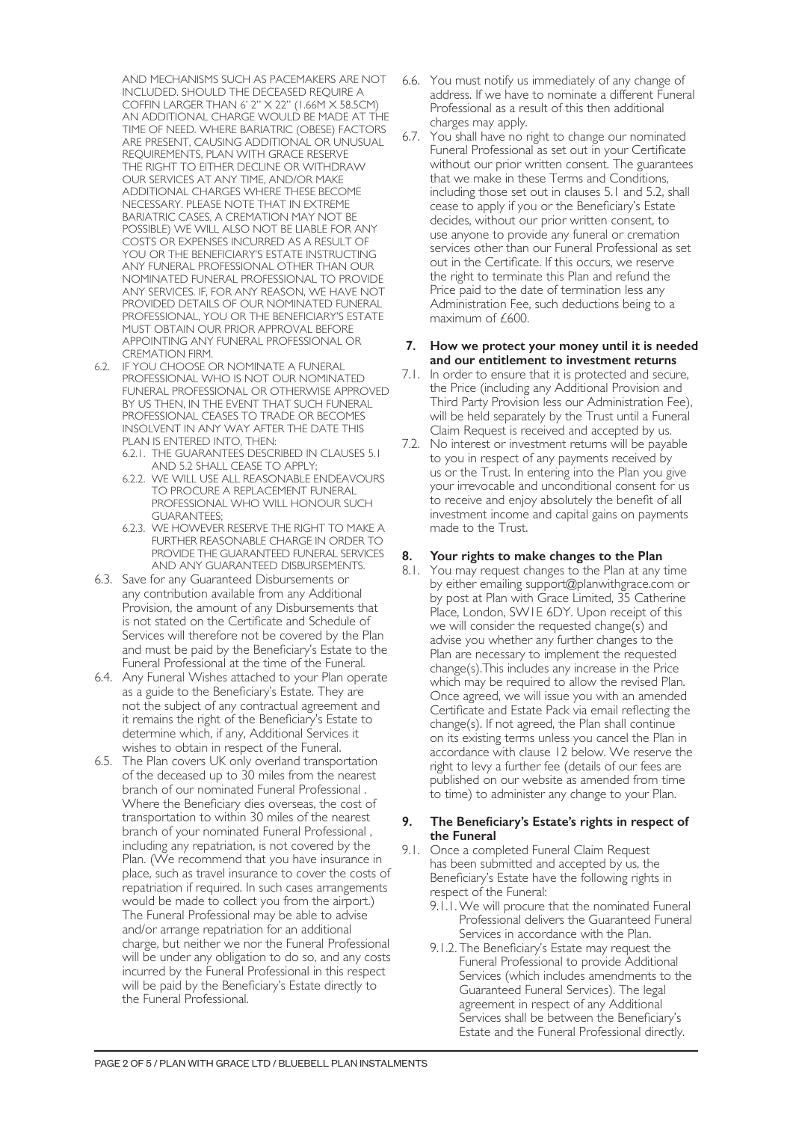AND MECHANISMS SUCH AS PACEMAKERS ARE NOT INCLUDED. SHOULD THE DECEASED REQUIRE A COFFIN LARGER THAN 6' 2" X 22" (1.66M X 58.5CM) AN ADDITIONAL CHARGE WOULD BE MADE AT THE TIME OF NEED. WHERE BARIATRIC (OBESE) FACTORS ARE PRESENT, CAUSING ADDITIONAL OR UNUSUAL REQUIREMENTS, PLAN WITH GRACE RESERVE THE RIGHT TO EITHER DECLINE OR WITHDRAW OUR SERVICES AT ANY TIME, AND/OR MAKE ADDITIONAL CHARGES WHERE THESE BECOME NECESSARY. PLEASE NOTE THAT IN EXTREME BARIATRIC CASES, A CREMATION MAY NOT BE POSSIBLE) WE WILL ALSO NOT BE LIABLE FOR ANY COSTS OR EXPENSES INCURRED AS A RESULT OF YOU OR THE BENEFICIARY'S ESTATE INSTRUCTING ANY FUNERAL PROFESSIONAL OTHER THAN OUR NOMINATED FUNERAL PROFESSIONAL TO PROVIDE ANY SERVICES. IF, FOR ANY REASON, WE HAVE NOT PROVIDED DETAILS OF OUR NOMINATED FUNERAL PROFESSIONAL, YOU OR THE BENEFICIARY'S ESTATE MUST OBTAIN OUR PRIOR APPROVAL BEFORE APPOINTING ANY FUNERAL PROFESSIONAL OR CREMATION FIRM.

- 6.2. IF YOU CHOOSE OR NOMINATE A FUNERAL PROFESSIONAL WHO IS NOT OUR NOMINATED FUNERAL PROFESSIONAL OR OTHERWISE APPROVED BY US THEN, IN THE EVENT THAT SUCH FUNERAL PROFESSIONAL CEASES TO TRADE OR BECOMES INSOLVENT IN ANY WAY AFTER THE DATE THIS PLAN IS ENTERED INTO, THEN:
	- 6.2.1. THE GUARANTEES DESCRIBED IN CLAUSES 5.1 AND 5.2 SHALL CEASE TO APPLY;
	- 6.2.2. WE WILL USE ALL REASONABLE ENDEAVOURS TO PROCURE A REPLACEMENT FUNERAL PROFESSIONAL WHO WILL HONOUR SUCH GUARANTEES;
	- 6.2.3. WE HOWEVER RESERVE THE RIGHT TO MAKE A FURTHER REASONABLE CHARGE IN ORDER TO PROVIDE THE GUARANTEED FUNERAL SERVICES AND ANY GUARANTEED DISBURSEMENTS.
- 6.3. Save for any Guaranteed Disbursements or any contribution available from any Additional Provision, the amount of any Disbursements that is not stated on the Certificate and Schedule of Services will therefore not be covered by the Plan and must be paid by the Beneficiary's Estate to the Funeral Professional at the time of the Funeral.
- 6.4. Any Funeral Wishes attached to your Plan operate as a guide to the Beneficiary's Estate. They are not the subject of any contractual agreement and it remains the right of the Beneficiary's Estate to determine which, if any, Additional Services it wishes to obtain in respect of the Funeral.
- 6.5. The Plan covers UK only overland transportation of the deceased up to 30 miles from the nearest branch of our nominated Funeral Professional . Where the Beneficiary dies overseas, the cost of transportation to within 30 miles of the nearest branch of your nominated Funeral Professional , including any repatriation, is not covered by the Plan. (We recommend that you have insurance in place, such as travel insurance to cover the costs of repatriation if required. In such cases arrangements would be made to collect you from the airport.) The Funeral Professional may be able to advise and/or arrange repatriation for an additional charge, but neither we nor the Funeral Professional will be under any obligation to do so, and any costs incurred by the Funeral Professional in this respect will be paid by the Beneficiary's Estate directly to the Funeral Professional.
- 6.6. You must notify us immediately of any change of address. If we have to nominate a different Funeral Professional as a result of this then additional charges may apply.
- 6.7. You shall have no right to change our nominated Funeral Professional as set out in your Certificate without our prior written consent. The guarantees that we make in these Terms and Conditions, including those set out in clauses 5.1 and 5.2, shall cease to apply if you or the Beneficiary's Estate decides, without our prior written consent, to use anyone to provide any funeral or cremation services other than our Funeral Professional as set out in the Certificate. If this occurs, we reserve the right to terminate this Plan and refund the Price paid to the date of termination less any Administration Fee, such deductions being to a maximum of £600.

#### **7. How we protect your money until it is needed and our entitlement to investment returns**

- 7.1. In order to ensure that it is protected and secure, the Price (including any Additional Provision and Third Party Provision less our Administration Fee), will be held separately by the Trust until a Funeral Claim Request is received and accepted by us.
- 7.2. No interest or investment returns will be payable to you in respect of any payments received by us or the Trust. In entering into the Plan you give your irrevocable and unconditional consent for us to receive and enjoy absolutely the benefit of all investment income and capital gains on payments made to the Trust.

# **8. Your rights to make changes to the Plan**

8.1. You may request changes to the Plan at any time by either emailing support@planwithgrace.com or by post at Plan with Grace Limited, 35 Catherine Place, London, SW1E 6DY. Upon receipt of this we will consider the requested change(s) and advise you whether any further changes to the Plan are necessary to implement the requested change(s).This includes any increase in the Price which may be required to allow the revised Plan. Once agreed, we will issue you with an amended Certificate and Estate Pack via email reflecting the change(s). If not agreed, the Plan shall continue on its existing terms unless you cancel the Plan in accordance with clause 12 below. We reserve the right to levy a further fee (details of our fees are published on our website as amended from time to time) to administer any change to your Plan.

#### **9. The Beneficiary's Estate's rights in respect of the Funeral**

- 9.1. Once a completed Funeral Claim Request has been submitted and accepted by us, the Beneficiary's Estate have the following rights in respect of the Funeral:
	- 9.1.1.We will procure that the nominated Funeral Professional delivers the Guaranteed Funeral Services in accordance with the Plan.
	- 9.1.2. The Beneficiary's Estate may request the Funeral Professional to provide Additional Services (which includes amendments to the Guaranteed Funeral Services). The legal agreement in respect of any Additional Services shall be between the Beneficiary's Estate and the Funeral Professional directly.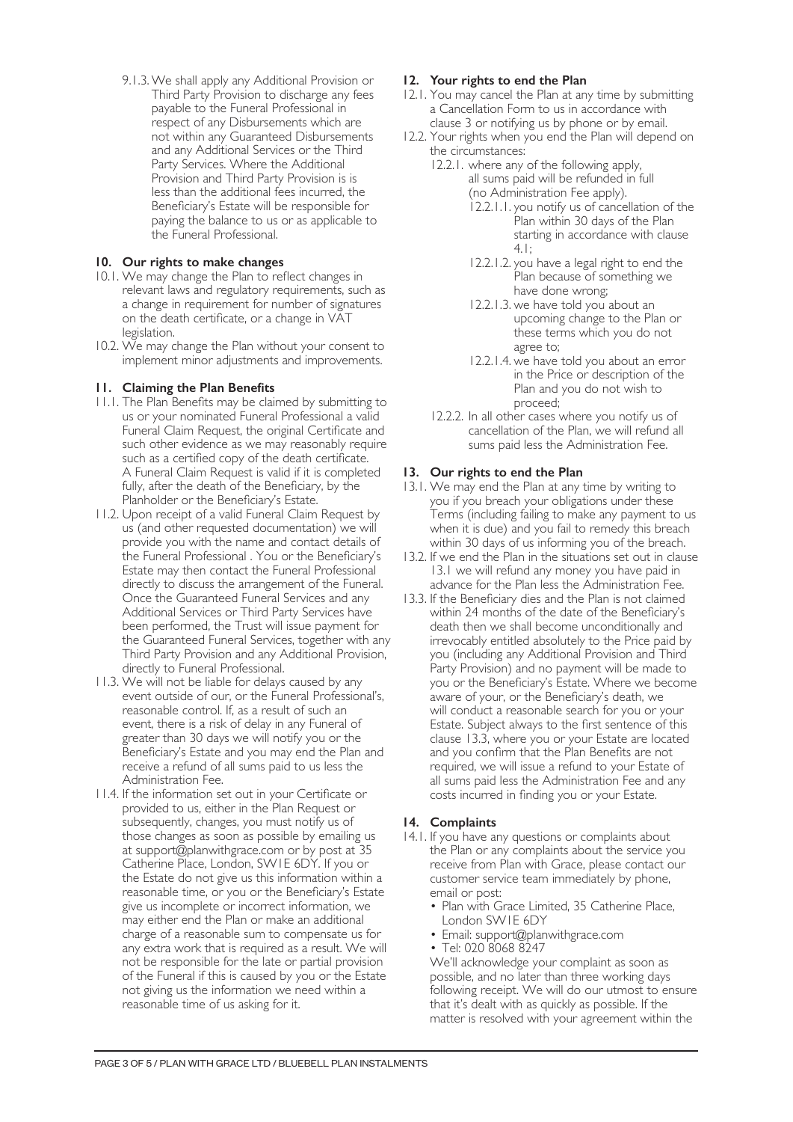9.1.3.We shall apply any Additional Provision or Third Party Provision to discharge any fees payable to the Funeral Professional in respect of any Disbursements which are not within any Guaranteed Disbursements and any Additional Services or the Third Party Services. Where the Additional Provision and Third Party Provision is is less than the additional fees incurred, the Beneficiary's Estate will be responsible for paying the balance to us or as applicable to the Funeral Professional.

# **10. Our rights to make changes**

- 10.1. We may change the Plan to reflect changes in relevant laws and regulatory requirements, such as a change in requirement for number of signatures on the death certificate, or a change in VAT legislation.
- 10.2. We may change the Plan without your consent to implement minor adjustments and improvements.

# **11. Claiming the Plan Benefits**

- 11.1. The Plan Benefits may be claimed by submitting to us or your nominated Funeral Professional a valid Funeral Claim Request, the original Certificate and such other evidence as we may reasonably require such as a certified copy of the death certificate. A Funeral Claim Request is valid if it is completed fully, after the death of the Beneficiary, by the Planholder or the Beneficiary's Estate.
- 11.2. Upon receipt of a valid Funeral Claim Request by us (and other requested documentation) we will provide you with the name and contact details of the Funeral Professional . You or the Beneficiary's Estate may then contact the Funeral Professional directly to discuss the arrangement of the Funeral. Once the Guaranteed Funeral Services and any Additional Services or Third Party Services have been performed, the Trust will issue payment for the Guaranteed Funeral Services, together with any Third Party Provision and any Additional Provision, directly to Funeral Professional.
- 11.3. We will not be liable for delays caused by any event outside of our, or the Funeral Professional's, reasonable control. If, as a result of such an event, there is a risk of delay in any Funeral of greater than 30 days we will notify you or the Beneficiary's Estate and you may end the Plan and receive a refund of all sums paid to us less the Administration Fee.
- 11.4. If the information set out in your Certificate or provided to us, either in the Plan Request or subsequently, changes, you must notify us of those changes as soon as possible by emailing us at support@planwithgrace.com or by post at 35 Catherine Place, London, SW1E 6DY. If you or the Estate do not give us this information within a reasonable time, or you or the Beneficiary's Estate give us incomplete or incorrect information, we may either end the Plan or make an additional charge of a reasonable sum to compensate us for any extra work that is required as a result. We will not be responsible for the late or partial provision of the Funeral if this is caused by you or the Estate not giving us the information we need within a reasonable time of us asking for it.

# **12. Your rights to end the Plan**

- 12.1. You may cancel the Plan at any time by submitting a Cancellation Form to us in accordance with clause 3 or notifying us by phone or by email.
- 12.2. Your rights when you end the Plan will depend on the circumstances:
	- 12.2.1. where any of the following apply, all sums paid will be refunded in full (no Administration Fee apply).
		- 12.2.1.1. you notify us of cancellation of the Plan within 30 days of the Plan starting in accordance with clause 4.1;
		- 12.2.1.2. you have a legal right to end the Plan because of something we have done wrong;
		- 12.2.1.3. we have told you about an upcoming change to the Plan or these terms which you do not agree to;
		- 12.2.1.4. we have told you about an error in the Price or description of the Plan and you do not wish to proceed;
	- 12.2.2. In all other cases where you notify us of cancellation of the Plan, we will refund all sums paid less the Administration Fee.

# **13. Our rights to end the Plan**

- 13.1. We may end the Plan at any time by writing to you if you breach your obligations under these Terms (including failing to make any payment to us when it is due) and you fail to remedy this breach within 30 days of us informing you of the breach.
- 13.2. If we end the Plan in the situations set out in clause 13.1 we will refund any money you have paid in advance for the Plan less the Administration Fee.
- 13.3. If the Beneficiary dies and the Plan is not claimed within 24 months of the date of the Beneficiary's death then we shall become unconditionally and irrevocably entitled absolutely to the Price paid by you (including any Additional Provision and Third Party Provision) and no payment will be made to you or the Beneficiary's Estate. Where we become aware of your, or the Beneficiary's death, we will conduct a reasonable search for you or your Estate. Subject always to the first sentence of this clause 13.3, where you or your Estate are located and you confirm that the Plan Benefits are not required, we will issue a refund to your Estate of all sums paid less the Administration Fee and any costs incurred in finding you or your Estate.

#### **14. Complaints**

- 14.1. If you have any questions or complaints about the Plan or any complaints about the service you receive from Plan with Grace, please contact our customer service team immediately by phone, email or post:
	- Plan with Grace Limited, 35 Catherine Place, London SW1E 6DY
	- Email: support@planwithgrace.com
	- Tel: 020 8068 8247

We'll acknowledge your complaint as soon as possible, and no later than three working days following receipt. We will do our utmost to ensure that it's dealt with as quickly as possible. If the matter is resolved with your agreement within the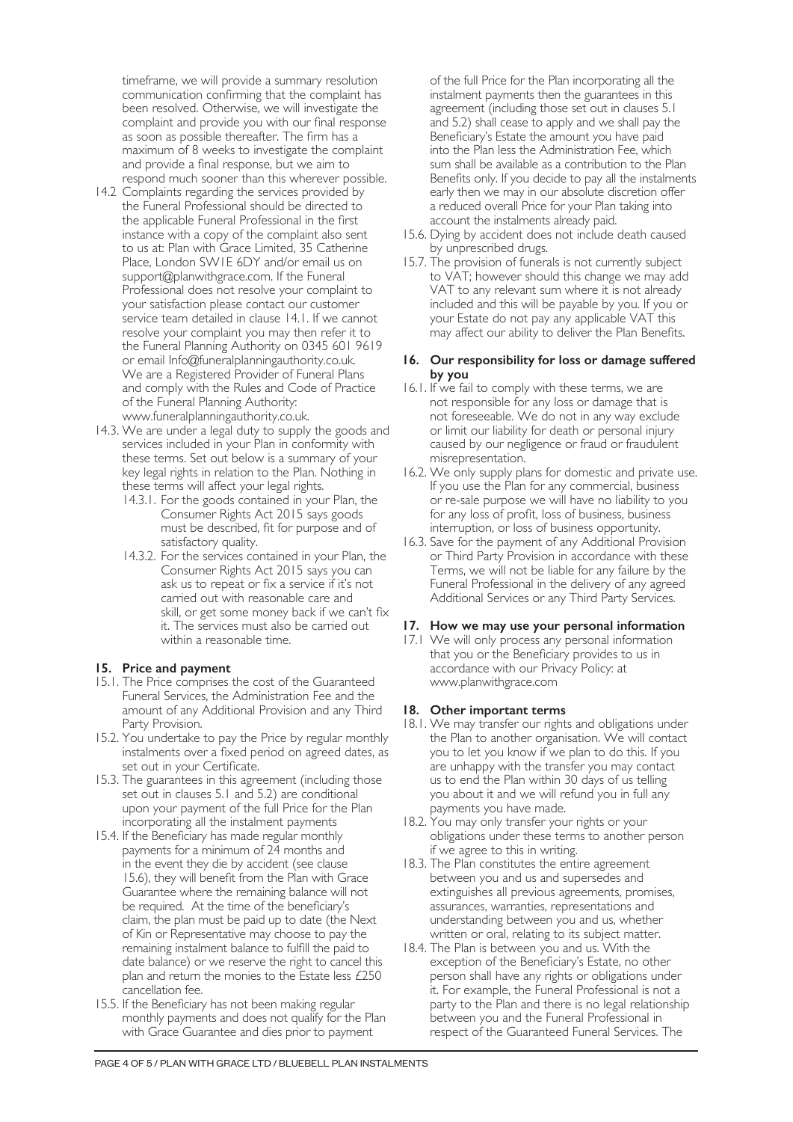timeframe, we will provide a summary resolution communication confirming that the complaint has been resolved. Otherwise, we will investigate the complaint and provide you with our final response as soon as possible thereafter. The firm has a maximum of 8 weeks to investigate the complaint and provide a final response, but we aim to respond much sooner than this wherever possible.

- 14.2 Complaints regarding the services provided by the Funeral Professional should be directed to the applicable Funeral Professional in the first instance with a copy of the complaint also sent to us at: Plan with Grace Limited, 35 Catherine Place, London SW1E 6DY and/or email us on support@planwithgrace.com. If the Funeral Professional does not resolve your complaint to your satisfaction please contact our customer service team detailed in clause 14.1. If we cannot resolve your complaint you may then refer it to the Funeral Planning Authority on 0345 601 9619 or email Info@funeralplanningauthority.co.uk. We are a Registered Provider of Funeral Plans and comply with the Rules and Code of Practice of the Funeral Planning Authority: www.funeralplanningauthority.co.uk.
- 14.3. We are under a legal duty to supply the goods and services included in your Plan in conformity with these terms. Set out below is a summary of your key legal rights in relation to the Plan. Nothing in these terms will affect your legal rights.
	- 14.3.1. For the goods contained in your Plan, the Consumer Rights Act 2015 says goods must be described, fit for purpose and of satisfactory quality.
	- 14.3.2. For the services contained in your Plan, the Consumer Rights Act 2015 says you can ask us to repeat or fix a service if it's not carried out with reasonable care and skill, or get some money back if we can't fix it. The services must also be carried out within a reasonable time.

#### **15. Price and payment**

- 15.1. The Price comprises the cost of the Guaranteed Funeral Services, the Administration Fee and the amount of any Additional Provision and any Third Party Provision.
- 15.2. You undertake to pay the Price by regular monthly instalments over a fixed period on agreed dates, as set out in your Certificate.
- 15.3. The guarantees in this agreement (including those set out in clauses 5.1 and 5.2) are conditional upon your payment of the full Price for the Plan incorporating all the instalment payments
- 15.4. If the Beneficiary has made regular monthly payments for a minimum of 24 months and in the event they die by accident (see clause 15.6), they will benefit from the Plan with Grace Guarantee where the remaining balance will not be required. At the time of the beneficiary's claim, the plan must be paid up to date (the Next of Kin or Representative may choose to pay the remaining instalment balance to fulfill the paid to date balance) or we reserve the right to cancel this plan and return the monies to the Estate less £250 cancellation fee.
- 15.5. If the Beneficiary has not been making regular monthly payments and does not qualify for the Plan with Grace Guarantee and dies prior to payment

of the full Price for the Plan incorporating all the instalment payments then the guarantees in this agreement (including those set out in clauses 5.1 and 5.2) shall cease to apply and we shall pay the Beneficiary's Estate the amount you have paid into the Plan less the Administration Fee, which sum shall be available as a contribution to the Plan Benefits only. If you decide to pay all the instalments early then we may in our absolute discretion offer a reduced overall Price for your Plan taking into account the instalments already paid.

- 15.6. Dying by accident does not include death caused by unprescribed drugs.
- 15.7. The provision of funerals is not currently subject to VAT; however should this change we may add VAT to any relevant sum where it is not already included and this will be payable by you. If you or your Estate do not pay any applicable VAT this may affect our ability to deliver the Plan Benefits.

### **16. Our responsibility for loss or damage suffered by you**

- 16.1. If we fail to comply with these terms, we are not responsible for any loss or damage that is not foreseeable. We do not in any way exclude or limit our liability for death or personal injury caused by our negligence or fraud or fraudulent misrepresentation.
- 16.2. We only supply plans for domestic and private use. If you use the Plan for any commercial, business or re-sale purpose we will have no liability to you for any loss of profit, loss of business, business interruption, or loss of business opportunity.
- 16.3. Save for the payment of any Additional Provision or Third Party Provision in accordance with these Terms, we will not be liable for any failure by the Funeral Professional in the delivery of any agreed Additional Services or any Third Party Services.

#### **17. How we may use your personal information**

17.1 We will only process any personal information that you or the Beneficiary provides to us in accordance with our Privacy Policy: at www.planwithgrace.com

#### **18. Other important terms**

- 18.1. We may transfer our rights and obligations under the Plan to another organisation. We will contact you to let you know if we plan to do this. If you are unhappy with the transfer you may contact us to end the Plan within 30 days of us telling you about it and we will refund you in full any payments you have made.
- 18.2. You may only transfer your rights or your obligations under these terms to another person if we agree to this in writing.
- 18.3. The Plan constitutes the entire agreement between you and us and supersedes and extinguishes all previous agreements, promises, assurances, warranties, representations and understanding between you and us, whether written or oral, relating to its subject matter.
- 18.4. The Plan is between you and us. With the exception of the Beneficiary's Estate, no other person shall have any rights or obligations under it. For example, the Funeral Professional is not a party to the Plan and there is no legal relationship between you and the Funeral Professional in respect of the Guaranteed Funeral Services. The